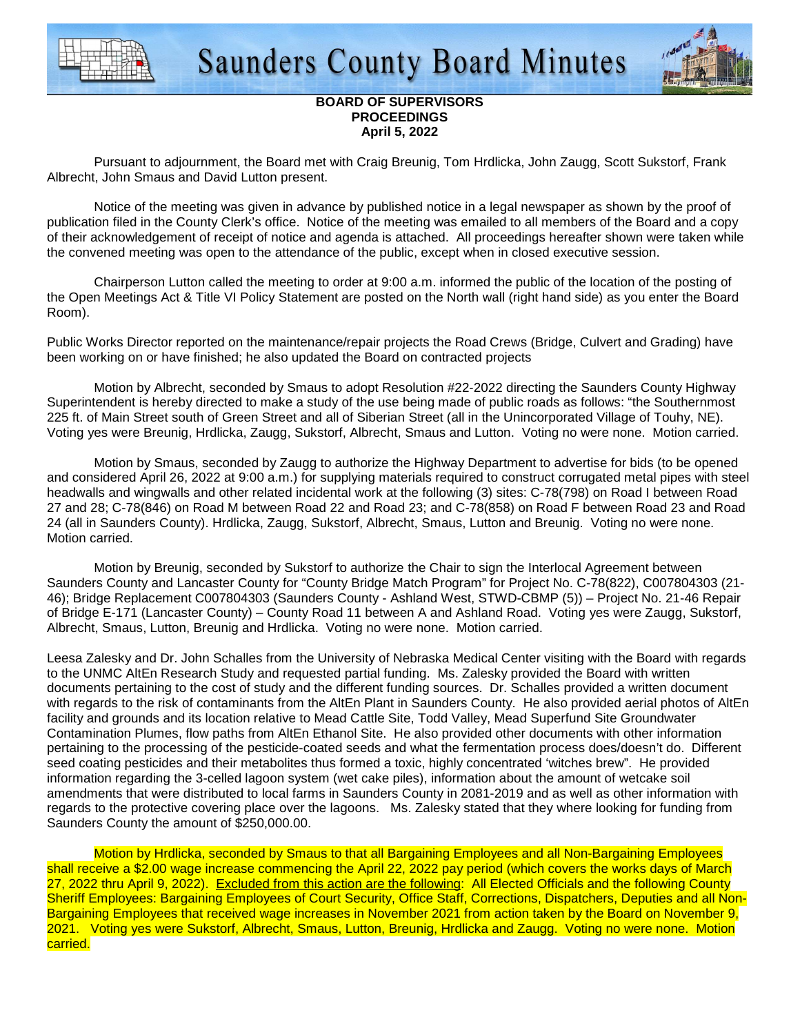



## **BOARD OF SUPERVISORS PROCEEDINGS April 5, 2022**

 Pursuant to adjournment, the Board met with Craig Breunig, Tom Hrdlicka, John Zaugg, Scott Sukstorf, Frank Albrecht, John Smaus and David Lutton present.

 Notice of the meeting was given in advance by published notice in a legal newspaper as shown by the proof of publication filed in the County Clerk's office. Notice of the meeting was emailed to all members of the Board and a copy of their acknowledgement of receipt of notice and agenda is attached. All proceedings hereafter shown were taken while the convened meeting was open to the attendance of the public, except when in closed executive session.

 Chairperson Lutton called the meeting to order at 9:00 a.m. informed the public of the location of the posting of the Open Meetings Act & Title VI Policy Statement are posted on the North wall (right hand side) as you enter the Board Room).

Public Works Director reported on the maintenance/repair projects the Road Crews (Bridge, Culvert and Grading) have been working on or have finished; he also updated the Board on contracted projects

Motion by Albrecht, seconded by Smaus to adopt Resolution #22-2022 directing the Saunders County Highway Superintendent is hereby directed to make a study of the use being made of public roads as follows: "the Southernmost 225 ft. of Main Street south of Green Street and all of Siberian Street (all in the Unincorporated Village of Touhy, NE). Voting yes were Breunig, Hrdlicka, Zaugg, Sukstorf, Albrecht, Smaus and Lutton. Voting no were none. Motion carried.

 Motion by Smaus, seconded by Zaugg to authorize the Highway Department to advertise for bids (to be opened and considered April 26, 2022 at 9:00 a.m.) for supplying materials required to construct corrugated metal pipes with steel headwalls and wingwalls and other related incidental work at the following (3) sites: C-78(798) on Road I between Road 27 and 28; C-78(846) on Road M between Road 22 and Road 23; and C-78(858) on Road F between Road 23 and Road 24 (all in Saunders County). Hrdlicka, Zaugg, Sukstorf, Albrecht, Smaus, Lutton and Breunig. Voting no were none. Motion carried.

Motion by Breunig, seconded by Sukstorf to authorize the Chair to sign the Interlocal Agreement between Saunders County and Lancaster County for "County Bridge Match Program" for Project No. C-78(822), C007804303 (21- 46); Bridge Replacement C007804303 (Saunders County - Ashland West, STWD-CBMP (5)) – Project No. 21-46 Repair of Bridge E-171 (Lancaster County) – County Road 11 between A and Ashland Road. Voting yes were Zaugg, Sukstorf, Albrecht, Smaus, Lutton, Breunig and Hrdlicka. Voting no were none. Motion carried.

Leesa Zalesky and Dr. John Schalles from the University of Nebraska Medical Center visiting with the Board with regards to the UNMC AltEn Research Study and requested partial funding. Ms. Zalesky provided the Board with written documents pertaining to the cost of study and the different funding sources. Dr. Schalles provided a written document with regards to the risk of contaminants from the AltEn Plant in Saunders County. He also provided aerial photos of AltEn facility and grounds and its location relative to Mead Cattle Site, Todd Valley, Mead Superfund Site Groundwater Contamination Plumes, flow paths from AltEn Ethanol Site. He also provided other documents with other information pertaining to the processing of the pesticide-coated seeds and what the fermentation process does/doesn't do. Different seed coating pesticides and their metabolites thus formed a toxic, highly concentrated 'witches brew". He provided information regarding the 3-celled lagoon system (wet cake piles), information about the amount of wetcake soil amendments that were distributed to local farms in Saunders County in 2081-2019 and as well as other information with regards to the protective covering place over the lagoons. Ms. Zalesky stated that they where looking for funding from Saunders County the amount of \$250,000.00.

 Motion by Hrdlicka, seconded by Smaus to that all Bargaining Employees and all Non-Bargaining Employees shall receive a \$2.00 wage increase commencing the April 22, 2022 pay period (which covers the works days of March 27, 2022 thru April 9, 2022). Excluded from this action are the following: All Elected Officials and the following County Sheriff Employees: Bargaining Employees of Court Security, Office Staff, Corrections, Dispatchers, Deputies and all Non-Bargaining Employees that received wage increases in November 2021 from action taken by the Board on November 9, 2021. Voting yes were Sukstorf, Albrecht, Smaus, Lutton, Breunig, Hrdlicka and Zaugg. Voting no were none. Motion carried.